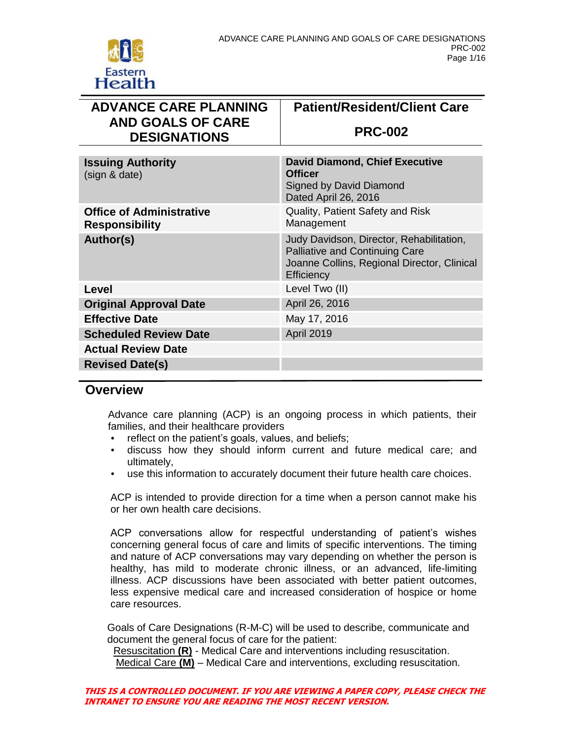

| <b>ADVANCE CARE PLANNING</b><br><b>AND GOALS OF CARE</b> | <b>Patient/Resident/Client Care</b>                                                                                                            |
|----------------------------------------------------------|------------------------------------------------------------------------------------------------------------------------------------------------|
| <b>DESIGNATIONS</b>                                      | <b>PRC-002</b>                                                                                                                                 |
|                                                          |                                                                                                                                                |
| <b>Issuing Authority</b><br>(sign & date)                | <b>David Diamond, Chief Executive</b><br><b>Officer</b><br>Signed by David Diamond<br>Dated April 26, 2016                                     |
| <b>Office of Administrative</b><br><b>Responsibility</b> | Quality, Patient Safety and Risk<br>Management                                                                                                 |
| Author(s)                                                | Judy Davidson, Director, Rehabilitation,<br><b>Palliative and Continuing Care</b><br>Joanne Collins, Regional Director, Clinical<br>Efficiency |
| Level                                                    | Level Two (II)                                                                                                                                 |
| <b>Original Approval Date</b>                            | April 26, 2016                                                                                                                                 |
| <b>Effective Date</b>                                    | May 17, 2016                                                                                                                                   |
| <b>Scheduled Review Date</b>                             | <b>April 2019</b>                                                                                                                              |
| <b>Actual Review Date</b>                                |                                                                                                                                                |
| <b>Revised Date(s)</b>                                   |                                                                                                                                                |
|                                                          |                                                                                                                                                |

### **Overview**

Advance care planning (ACP) is an ongoing process in which patients, their families, and their healthcare providers

- reflect on the patient's goals, values, and beliefs;
- discuss how they should inform current and future medical care; and ultimately,
- use this information to accurately document their future health care choices.

ACP is intended to provide direction for a time when a person cannot make his or her own health care decisions.

ACP conversations allow for respectful understanding of patient's wishes concerning general focus of care and limits of specific interventions. The timing and nature of ACP conversations may vary depending on whether the person is healthy, has mild to moderate chronic illness, or an advanced, life-limiting illness. ACP discussions have been associated with better patient outcomes, less expensive medical care and increased consideration of hospice or home care resources.

Goals of Care Designations (R-M-C) will be used to describe, communicate and document the general focus of care for the patient:

Resuscitation **(R)** - Medical Care and interventions including resuscitation. Medical Care **(M)** – Medical Care and interventions, excluding resuscitation.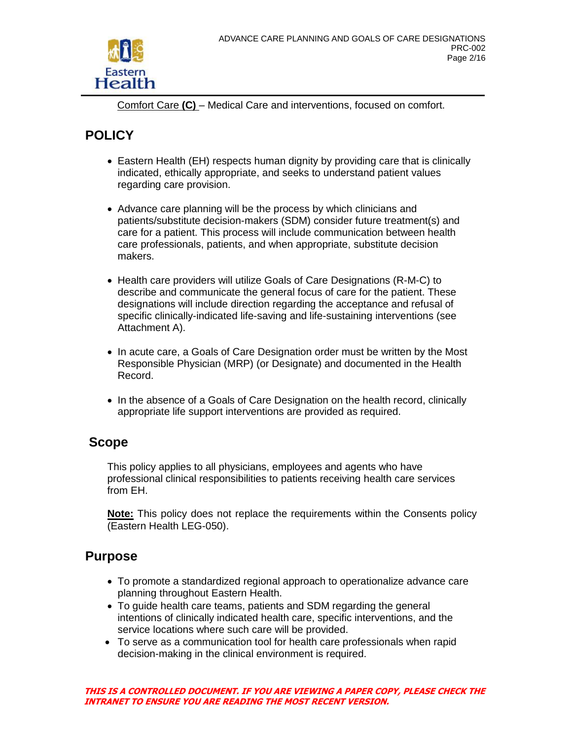

Comfort Care **(C)** – Medical Care and interventions, focused on comfort.

# **POLICY**

- Eastern Health (EH) respects human dignity by providing care that is clinically indicated, ethically appropriate, and seeks to understand patient values regarding care provision.
- Advance care planning will be the process by which clinicians and patients/substitute decision-makers (SDM) consider future treatment(s) and care for a patient. This process will include communication between health care professionals, patients, and when appropriate, substitute decision makers.
- Health care providers will utilize Goals of Care Designations (R-M-C) to describe and communicate the general focus of care for the patient. These designations will include direction regarding the acceptance and refusal of specific clinically-indicated life-saving and life-sustaining interventions (see Attachment A).
- In acute care, a Goals of Care Designation order must be written by the Most Responsible Physician (MRP) (or Designate) and documented in the Health Record.
- In the absence of a Goals of Care Designation on the health record, clinically appropriate life support interventions are provided as required.

# **Scope**

This policy applies to all physicians, employees and agents who have professional clinical responsibilities to patients receiving health care services from EH.

**Note:** This policy does not replace the requirements within the Consents policy (Eastern Health LEG-050).

## **Purpose**

- To promote a standardized regional approach to operationalize advance care planning throughout Eastern Health.
- To guide health care teams, patients and SDM regarding the general intentions of clinically indicated health care, specific interventions, and the service locations where such care will be provided.
- To serve as a communication tool for health care professionals when rapid decision-making in the clinical environment is required.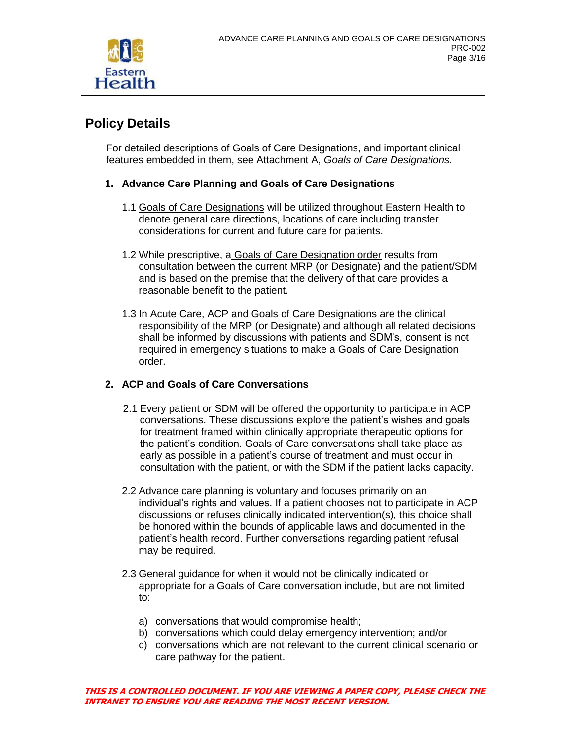

# **Policy Details**

For detailed descriptions of Goals of Care Designations, and important clinical features embedded in them, see Attachment A, *Goals of Care Designations.*

### **1. Advance Care Planning and Goals of Care Designations**

- 1.1 Goals of Care Designations will be utilized throughout Eastern Health to denote general care directions, locations of care including transfer considerations for current and future care for patients.
- 1.2 While prescriptive, a Goals of Care Designation order results from consultation between the current MRP (or Designate) and the patient/SDM and is based on the premise that the delivery of that care provides a reasonable benefit to the patient.
- 1.3 In Acute Care, ACP and Goals of Care Designations are the clinical responsibility of the MRP (or Designate) and although all related decisions shall be informed by discussions with patients and SDM's, consent is not required in emergency situations to make a Goals of Care Designation order.

### **2. ACP and Goals of Care Conversations**

- 2.1 Every patient or SDM will be offered the opportunity to participate in ACP conversations. These discussions explore the patient's wishes and goals for treatment framed within clinically appropriate therapeutic options for the patient's condition. Goals of Care conversations shall take place as early as possible in a patient's course of treatment and must occur in consultation with the patient, or with the SDM if the patient lacks capacity.
- 2.2 Advance care planning is voluntary and focuses primarily on an individual's rights and values. If a patient chooses not to participate in ACP discussions or refuses clinically indicated intervention(s), this choice shall be honored within the bounds of applicable laws and documented in the patient's health record. Further conversations regarding patient refusal may be required.
- 2.3 General guidance for when it would not be clinically indicated or appropriate for a Goals of Care conversation include, but are not limited to:
	- a) conversations that would compromise health;
	- b) conversations which could delay emergency intervention; and/or
	- c) conversations which are not relevant to the current clinical scenario or care pathway for the patient.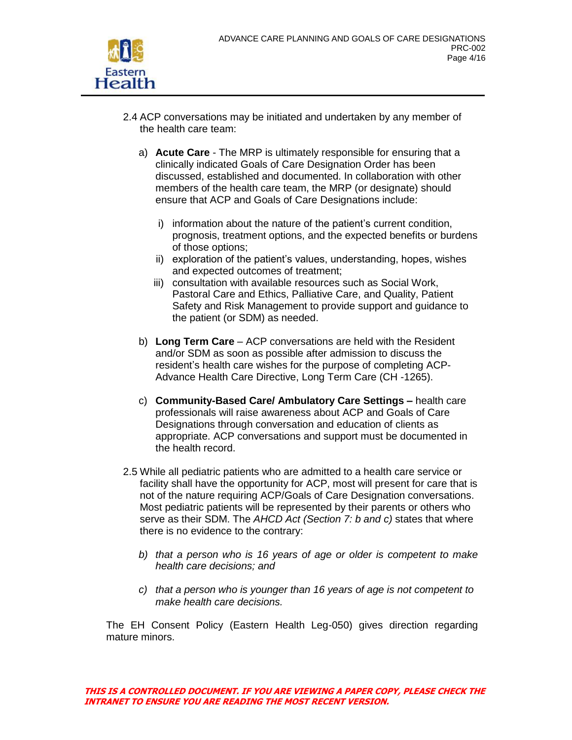

- 2.4 ACP conversations may be initiated and undertaken by any member of the health care team:
	- a) **Acute Care** The MRP is ultimately responsible for ensuring that a clinically indicated Goals of Care Designation Order has been discussed, established and documented. In collaboration with other members of the health care team, the MRP (or designate) should ensure that ACP and Goals of Care Designations include:
		- i) information about the nature of the patient's current condition, prognosis, treatment options, and the expected benefits or burdens of those options;
		- ii) exploration of the patient's values, understanding, hopes, wishes and expected outcomes of treatment;
		- iii) consultation with available resources such as Social Work, Pastoral Care and Ethics, Palliative Care, and Quality, Patient Safety and Risk Management to provide support and guidance to the patient (or SDM) as needed.
	- b) **Long Term Care** ACP conversations are held with the Resident and/or SDM as soon as possible after admission to discuss the resident's health care wishes for the purpose of completing ACP-Advance Health Care Directive, Long Term Care (CH -1265).
	- c) **Community-Based Care/ Ambulatory Care Settings –** health care professionals will raise awareness about ACP and Goals of Care Designations through conversation and education of clients as appropriate. ACP conversations and support must be documented in the health record.
- 2.5 While all pediatric patients who are admitted to a health care service or facility shall have the opportunity for ACP, most will present for care that is not of the nature requiring ACP/Goals of Care Designation conversations. Most pediatric patients will be represented by their parents or others who serve as their SDM. The *AHCD Act (Section 7: b and c)* states that where there is no evidence to the contrary:
	- *b) that a person who is 16 years of age or older is competent to make health care decisions; and*
	- *c) that a person who is younger than 16 years of age is not competent to make health care decisions.*

The EH Consent Policy (Eastern Health Leg-050) gives direction regarding mature minors.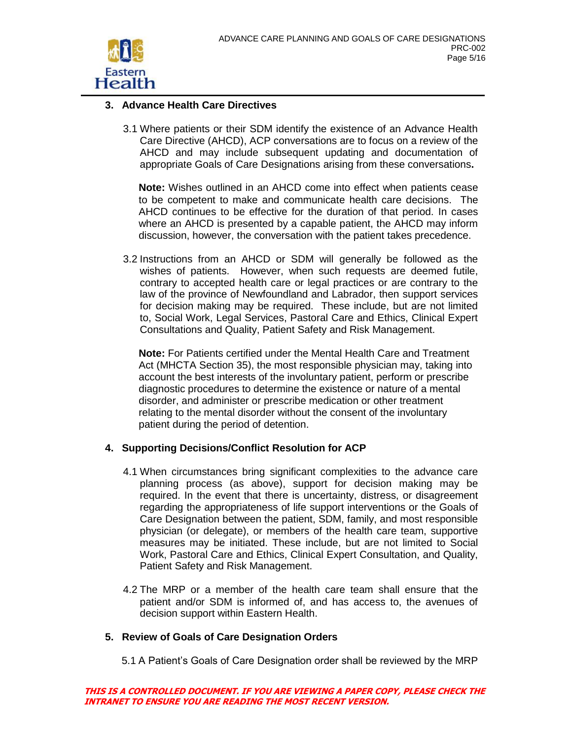

### **3. Advance Health Care Directives**

3.1 Where patients or their SDM identify the existence of an Advance Health Care Directive (AHCD), ACP conversations are to focus on a review of the AHCD and may include subsequent updating and documentation of appropriate Goals of Care Designations arising from these conversations**.**

**Note:** Wishes outlined in an AHCD come into effect when patients cease to be competent to make and communicate health care decisions. The AHCD continues to be effective for the duration of that period. In cases where an AHCD is presented by a capable patient, the AHCD may inform discussion, however, the conversation with the patient takes precedence.

3.2 Instructions from an AHCD or SDM will generally be followed as the wishes of patients. However, when such requests are deemed futile, contrary to accepted health care or legal practices or are contrary to the law of the province of Newfoundland and Labrador, then support services for decision making may be required. These include, but are not limited to, Social Work, Legal Services, Pastoral Care and Ethics, Clinical Expert Consultations and Quality, Patient Safety and Risk Management.

**Note:** For Patients certified under the Mental Health Care and Treatment Act (MHCTA Section 35), the most responsible physician may, taking into account the best interests of the involuntary patient, perform or prescribe diagnostic procedures to determine the existence or nature of a mental disorder, and administer or prescribe medication or other treatment relating to the mental disorder without the consent of the involuntary patient during the period of detention.

### **4. Supporting Decisions/Conflict Resolution for ACP**

- 4.1 When circumstances bring significant complexities to the advance care planning process (as above), support for decision making may be required. In the event that there is uncertainty, distress, or disagreement regarding the appropriateness of life support interventions or the Goals of Care Designation between the patient, SDM, family, and most responsible physician (or delegate), or members of the health care team, supportive measures may be initiated. These include, but are not limited to Social Work, Pastoral Care and Ethics, Clinical Expert Consultation, and Quality, Patient Safety and Risk Management.
- 4.2 The MRP or a member of the health care team shall ensure that the patient and/or SDM is informed of, and has access to, the avenues of decision support within Eastern Health.

### **5. Review of Goals of Care Designation Orders**

5.1 A Patient's Goals of Care Designation order shall be reviewed by the MRP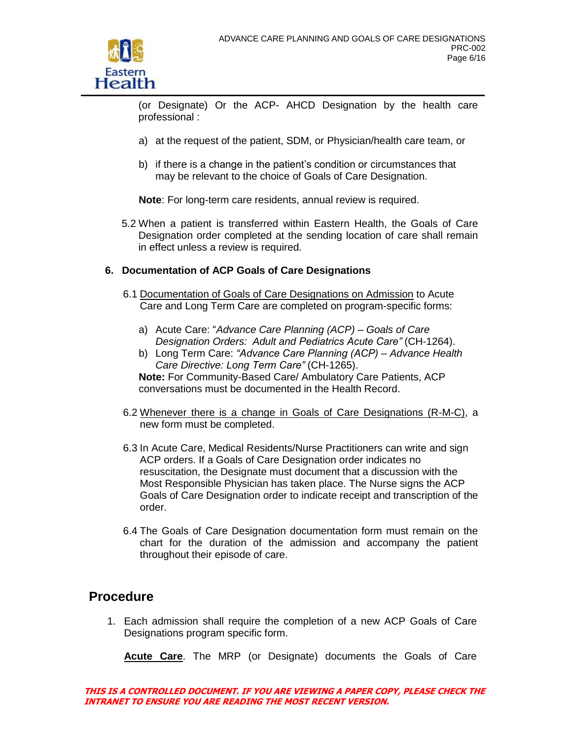

(or Designate) Or the ACP- AHCD Designation by the health care professional :

- a) at the request of the patient, SDM, or Physician/health care team, or
- b) if there is a change in the patient's condition or circumstances that may be relevant to the choice of Goals of Care Designation.

**Note**: For long-term care residents, annual review is required.

5.2 When a patient is transferred within Eastern Health, the Goals of Care Designation order completed at the sending location of care shall remain in effect unless a review is required.

### **6. Documentation of ACP Goals of Care Designations**

- 6.1 Documentation of Goals of Care Designations on Admission to Acute Care and Long Term Care are completed on program-specific forms:
	- a) Acute Care: "*Advance Care Planning (ACP) – Goals of Care Designation Orders: Adult and Pediatrics Acute Care"* (CH-1264).
	- b) Long Term Care: *"Advance Care Planning (ACP) – Advance Health Care Directive: Long Term Care"* (CH-1265). **Note:** For Community-Based Care/ Ambulatory Care Patients, ACP conversations must be documented in the Health Record.
- 6.2 Whenever there is a change in Goals of Care Designations (R-M-C), a new form must be completed.
- 6.3 In Acute Care, Medical Residents/Nurse Practitioners can write and sign ACP orders. If a Goals of Care Designation order indicates no resuscitation, the Designate must document that a discussion with the Most Responsible Physician has taken place. The Nurse signs the ACP Goals of Care Designation order to indicate receipt and transcription of the order.
- 6.4 The Goals of Care Designation documentation form must remain on the chart for the duration of the admission and accompany the patient throughout their episode of care.

### **Procedure**

1. Each admission shall require the completion of a new ACP Goals of Care Designations program specific form.

**Acute Care**. The MRP (or Designate) documents the Goals of Care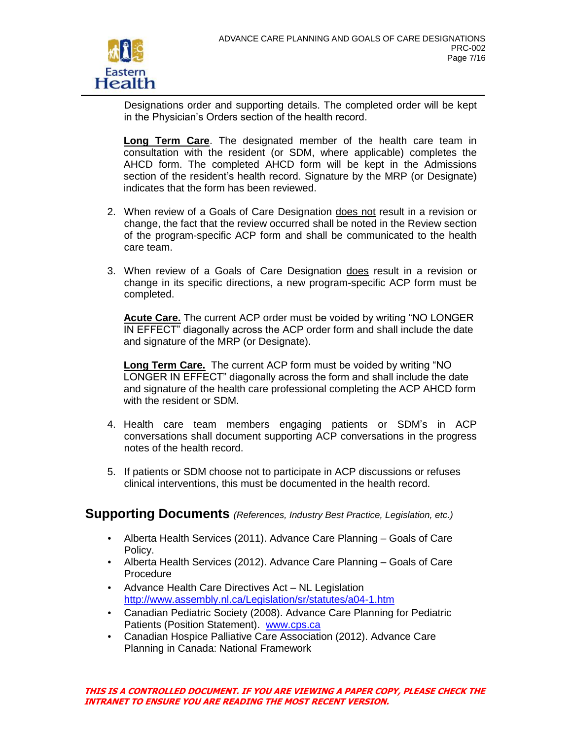

Designations order and supporting details. The completed order will be kept in the Physician's Orders section of the health record.

**Long Term Care**. The designated member of the health care team in consultation with the resident (or SDM, where applicable) completes the AHCD form. The completed AHCD form will be kept in the Admissions section of the resident's health record. Signature by the MRP (or Designate) indicates that the form has been reviewed.

- 2. When review of a Goals of Care Designation does not result in a revision or change, the fact that the review occurred shall be noted in the Review section of the program-specific ACP form and shall be communicated to the health care team.
- 3. When review of a Goals of Care Designation does result in a revision or change in its specific directions, a new program-specific ACP form must be completed.

**Acute Care.** The current ACP order must be voided by writing "NO LONGER IN EFFECT" diagonally across the ACP order form and shall include the date and signature of the MRP (or Designate).

**Long Term Care.** The current ACP form must be voided by writing "NO LONGER IN EFFECT" diagonally across the form and shall include the date and signature of the health care professional completing the ACP AHCD form with the resident or SDM.

- 4. Health care team members engaging patients or SDM's in ACP conversations shall document supporting ACP conversations in the progress notes of the health record.
- 5. If patients or SDM choose not to participate in ACP discussions or refuses clinical interventions, this must be documented in the health record.

### **Supporting Documents** *(References, Industry Best Practice, Legislation, etc.)*

- Alberta Health Services (2011). Advance Care Planning Goals of Care Policy.
- Alberta Health Services (2012). Advance Care Planning Goals of Care Procedure
- Advance Health Care Directives Act NL Legislation <http://www.assembly.nl.ca/Legislation/sr/statutes/a04-1.htm>
- Canadian Pediatric Society (2008). Advance Care Planning for Pediatric Patients (Position Statement). [www.cps.ca](http://www.cps.ca/)
- Canadian Hospice Palliative Care Association (2012). Advance Care Planning in Canada: National Framework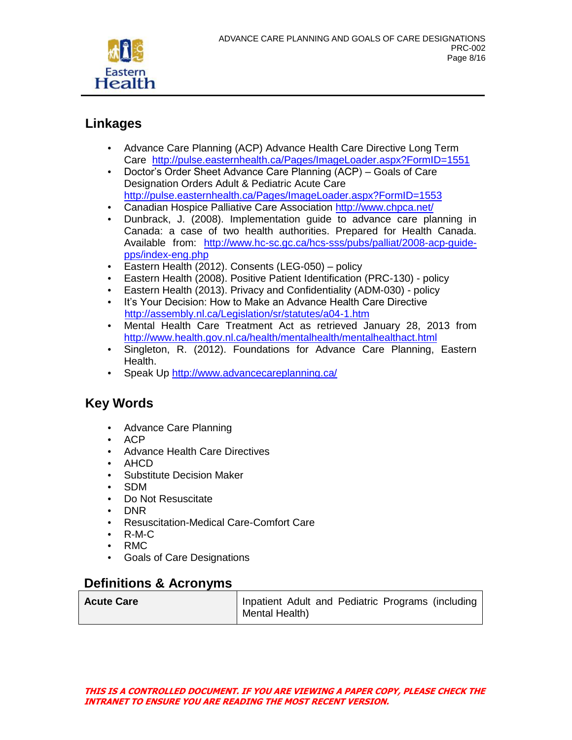

## **Linkages**

- Advance Care Planning (ACP) Advance Health Care Directive Long Term Care <http://pulse.easternhealth.ca/Pages/ImageLoader.aspx?FormID=1551>
- Doctor's Order Sheet Advance Care Planning (ACP) Goals of Care Designation Orders Adult & Pediatric Acute Care <http://pulse.easternhealth.ca/Pages/ImageLoader.aspx?FormID=1553>
- Canadian Hospice Palliative Care Association<http://www.chpca.net/>
- Dunbrack, J. (2008). Implementation guide to advance care planning in Canada: a case of two health authorities. Prepared for Health Canada. Available from: [http://www.hc-sc.gc.ca/hcs-sss/pubs/palliat/2008-acp-guide](http://www.hc-sc.gc.ca/hcs-sss/pubs/palliat/2008-acp-guide-pps/index-eng.php)[pps/index-eng.php](http://www.hc-sc.gc.ca/hcs-sss/pubs/palliat/2008-acp-guide-pps/index-eng.php)
- Eastern Health (2012). Consents (LEG-050) policy
- Eastern Health (2008). Positive Patient Identification (PRC-130) policy
- Eastern Health (2013). Privacy and Confidentiality (ADM-030) policy
- It's Your Decision: How to Make an Advance Health Care Directive <http://assembly.nl.ca/Legislation/sr/statutes/a04-1.htm>
- Mental Health Care Treatment Act as retrieved January 28, 2013 from <http://www.health.gov.nl.ca/health/mentalhealth/mentalhealthact.html>
- Singleton, R. (2012). Foundations for Advance Care Planning, Eastern Health.
- Speak Up<http://www.advancecareplanning.ca/>

## **Key Words**

- Advance Care Planning
- ACP
- Advance Health Care Directives
- AHCD
- Substitute Decision Maker
- SDM
- Do Not Resuscitate
- DNR
- Resuscitation-Medical Care-Comfort Care
- R-M-C
- RMC
- Goals of Care Designations

## **Definitions & Acronyms**

| <b>Acute Care</b> | Inpatient Adult and Pediatric Programs (including |
|-------------------|---------------------------------------------------|
|                   | Mental Health)                                    |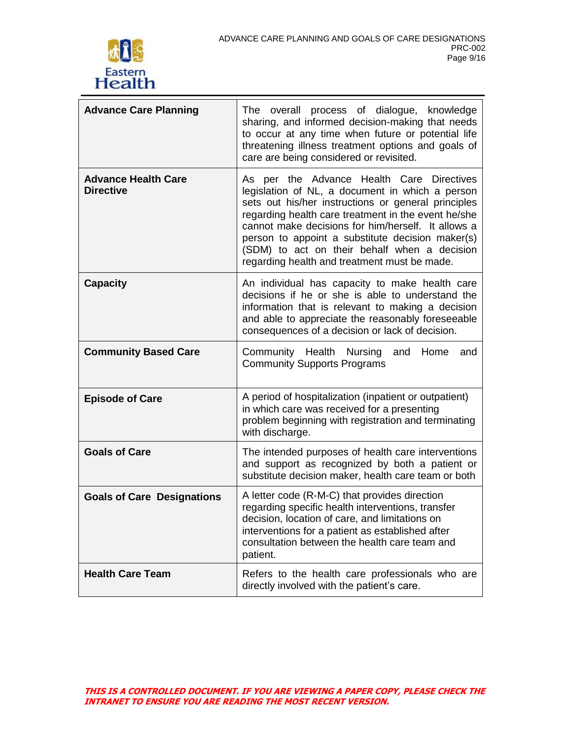

| <b>Advance Care Planning</b>                   | The overall process of dialogue, knowledge<br>sharing, and informed decision-making that needs<br>to occur at any time when future or potential life<br>threatening illness treatment options and goals of<br>care are being considered or revisited.                                                                                                                                                                |  |
|------------------------------------------------|----------------------------------------------------------------------------------------------------------------------------------------------------------------------------------------------------------------------------------------------------------------------------------------------------------------------------------------------------------------------------------------------------------------------|--|
| <b>Advance Health Care</b><br><b>Directive</b> | As per the Advance Health Care Directives<br>legislation of NL, a document in which a person<br>sets out his/her instructions or general principles<br>regarding health care treatment in the event he/she<br>cannot make decisions for him/herself. It allows a<br>person to appoint a substitute decision maker(s)<br>(SDM) to act on their behalf when a decision<br>regarding health and treatment must be made. |  |
| <b>Capacity</b>                                | An individual has capacity to make health care<br>decisions if he or she is able to understand the<br>information that is relevant to making a decision<br>and able to appreciate the reasonably foreseeable<br>consequences of a decision or lack of decision.                                                                                                                                                      |  |
| <b>Community Based Care</b>                    | Community Health Nursing<br>Home<br>and<br>and<br><b>Community Supports Programs</b>                                                                                                                                                                                                                                                                                                                                 |  |
| <b>Episode of Care</b>                         | A period of hospitalization (inpatient or outpatient)<br>in which care was received for a presenting<br>problem beginning with registration and terminating<br>with discharge.                                                                                                                                                                                                                                       |  |
| <b>Goals of Care</b>                           | The intended purposes of health care interventions<br>and support as recognized by both a patient or<br>substitute decision maker, health care team or both                                                                                                                                                                                                                                                          |  |
| <b>Goals of Care Designations</b>              | A letter code (R-M-C) that provides direction<br>regarding specific health interventions, transfer<br>decision, location of care, and limitations on<br>interventions for a patient as established after<br>consultation between the health care team and<br>patient.                                                                                                                                                |  |
| <b>Health Care Team</b>                        | Refers to the health care professionals who are<br>directly involved with the patient's care.                                                                                                                                                                                                                                                                                                                        |  |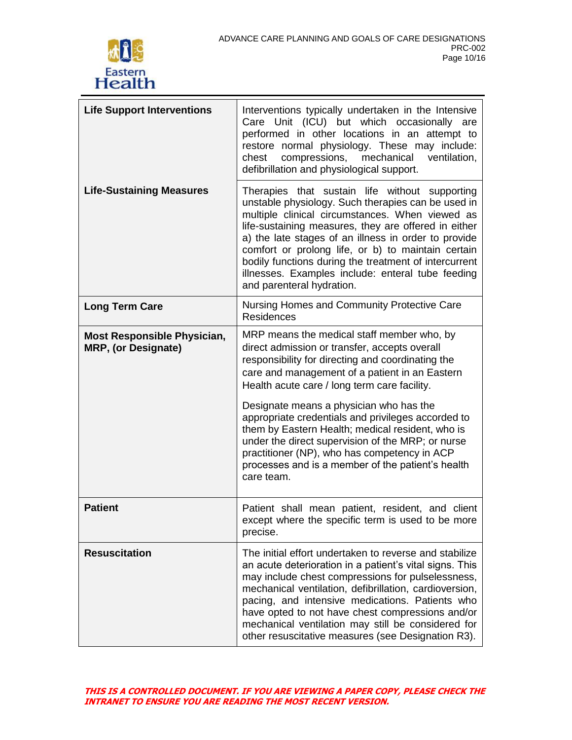

| <b>Life Support Interventions</b>                                | Interventions typically undertaken in the Intensive<br>Care Unit (ICU) but which occasionally are<br>performed in other locations in an attempt to<br>restore normal physiology. These may include:<br>chest<br>compressions,<br>mechanical<br>ventilation,<br>defibrillation and physiological support.                                                                                                                                                                 |
|------------------------------------------------------------------|--------------------------------------------------------------------------------------------------------------------------------------------------------------------------------------------------------------------------------------------------------------------------------------------------------------------------------------------------------------------------------------------------------------------------------------------------------------------------|
| <b>Life-Sustaining Measures</b>                                  | Therapies that sustain life without supporting<br>unstable physiology. Such therapies can be used in<br>multiple clinical circumstances. When viewed as<br>life-sustaining measures, they are offered in either<br>a) the late stages of an illness in order to provide<br>comfort or prolong life, or b) to maintain certain<br>bodily functions during the treatment of intercurrent<br>illnesses. Examples include: enteral tube feeding<br>and parenteral hydration. |
| <b>Long Term Care</b>                                            | Nursing Homes and Community Protective Care<br><b>Residences</b>                                                                                                                                                                                                                                                                                                                                                                                                         |
| <b>Most Responsible Physician,</b><br><b>MRP, (or Designate)</b> | MRP means the medical staff member who, by<br>direct admission or transfer, accepts overall<br>responsibility for directing and coordinating the<br>care and management of a patient in an Eastern<br>Health acute care / long term care facility.                                                                                                                                                                                                                       |
|                                                                  | Designate means a physician who has the<br>appropriate credentials and privileges accorded to<br>them by Eastern Health; medical resident, who is<br>under the direct supervision of the MRP; or nurse<br>practitioner (NP), who has competency in ACP<br>processes and is a member of the patient's health<br>care team.                                                                                                                                                |
| <b>Patient</b>                                                   | Patient shall mean patient, resident, and client<br>except where the specific term is used to be more<br>precise.                                                                                                                                                                                                                                                                                                                                                        |
| <b>Resuscitation</b>                                             | The initial effort undertaken to reverse and stabilize<br>an acute deterioration in a patient's vital signs. This<br>may include chest compressions for pulselessness,<br>mechanical ventilation, defibrillation, cardioversion,<br>pacing, and intensive medications. Patients who<br>have opted to not have chest compressions and/or<br>mechanical ventilation may still be considered for<br>other resuscitative measures (see Designation R3).                      |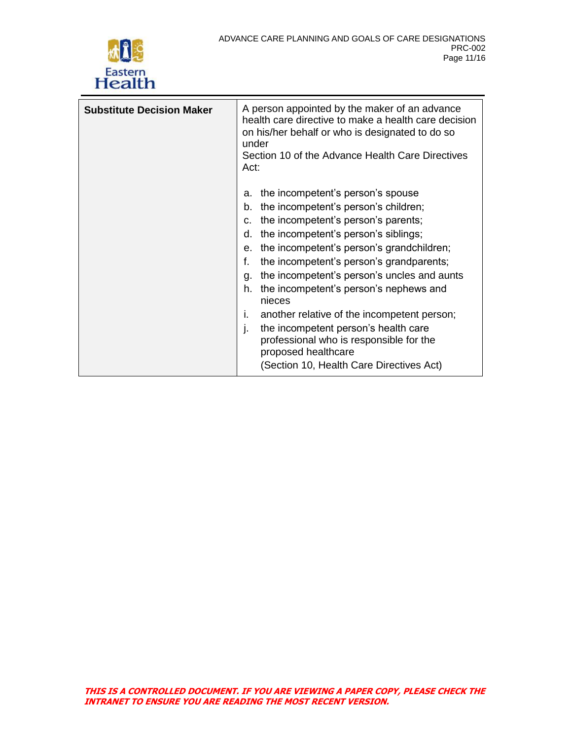

| <b>Substitute Decision Maker</b> | A person appointed by the maker of an advance<br>health care directive to make a health care decision<br>on his/her behalf or who is designated to do so<br>under<br>Section 10 of the Advance Health Care Directives<br>Act:                                                                                                                                                                                                                                                                                                                                                                                         |
|----------------------------------|-----------------------------------------------------------------------------------------------------------------------------------------------------------------------------------------------------------------------------------------------------------------------------------------------------------------------------------------------------------------------------------------------------------------------------------------------------------------------------------------------------------------------------------------------------------------------------------------------------------------------|
|                                  | the incompetent's person's spouse<br>а.<br>the incompetent's person's children;<br>b.<br>the incompetent's person's parents;<br>C.<br>the incompetent's person's siblings;<br>d.<br>the incompetent's person's grandchildren;<br>е.<br>f.<br>the incompetent's person's grandparents;<br>the incompetent's person's uncles and aunts<br>q.<br>the incompetent's person's nephews and<br>h.<br>nieces<br>another relative of the incompetent person;<br>Τ.<br>the incompetent person's health care<br>I.<br>professional who is responsible for the<br>proposed healthcare<br>(Section 10, Health Care Directives Act) |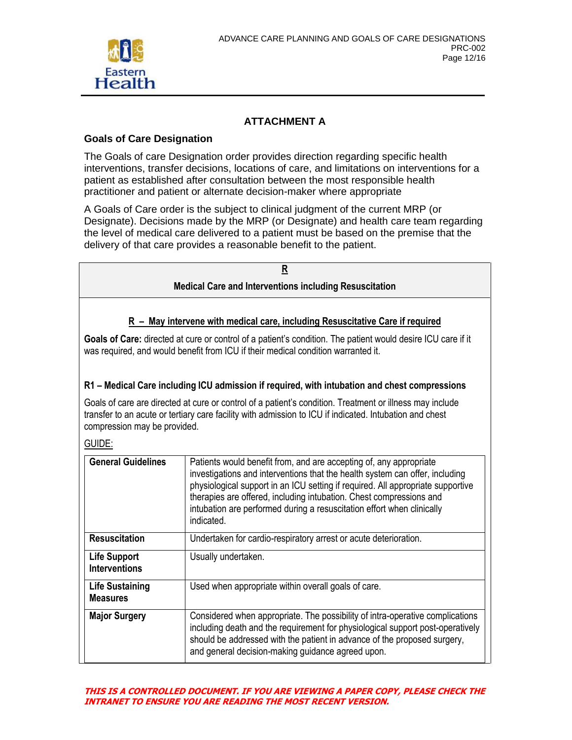

### **ATTACHMENT A**

### **Goals of Care Designation**

The Goals of care Designation order provides direction regarding specific health interventions, transfer decisions, locations of care, and limitations on interventions for a patient as established after consultation between the most responsible health practitioner and patient or alternate decision-maker where appropriate

A Goals of Care order is the subject to clinical judgment of the current MRP (or Designate). Decisions made by the MRP (or Designate) and health care team regarding the level of medical care delivered to a patient must be based on the premise that the delivery of that care provides a reasonable benefit to the patient.

|                                                                                                                                                                                                                                                     | R                                                                                                                                                                                                                                                                                                                                                                                                    |  |
|-----------------------------------------------------------------------------------------------------------------------------------------------------------------------------------------------------------------------------------------------------|------------------------------------------------------------------------------------------------------------------------------------------------------------------------------------------------------------------------------------------------------------------------------------------------------------------------------------------------------------------------------------------------------|--|
| <b>Medical Care and Interventions including Resuscitation</b>                                                                                                                                                                                       |                                                                                                                                                                                                                                                                                                                                                                                                      |  |
|                                                                                                                                                                                                                                                     | $R$ – May intervene with medical care, including Resuscitative Care if required                                                                                                                                                                                                                                                                                                                      |  |
|                                                                                                                                                                                                                                                     | Goals of Care: directed at cure or control of a patient's condition. The patient would desire ICU care if it<br>was required, and would benefit from ICU if their medical condition warranted it.                                                                                                                                                                                                    |  |
|                                                                                                                                                                                                                                                     | R1 - Medical Care including ICU admission if required, with intubation and chest compressions                                                                                                                                                                                                                                                                                                        |  |
| Goals of care are directed at cure or control of a patient's condition. Treatment or illness may include<br>transfer to an acute or tertiary care facility with admission to ICU if indicated. Intubation and chest<br>compression may be provided. |                                                                                                                                                                                                                                                                                                                                                                                                      |  |
| GUIDE:                                                                                                                                                                                                                                              |                                                                                                                                                                                                                                                                                                                                                                                                      |  |
| <b>General Guidelines</b>                                                                                                                                                                                                                           | Patients would benefit from, and are accepting of, any appropriate<br>investigations and interventions that the health system can offer, including<br>physiological support in an ICU setting if required. All appropriate supportive<br>therapies are offered, including intubation. Chest compressions and<br>intubation are performed during a resuscitation effort when clinically<br>indicated. |  |
| <b>Resuscitation</b>                                                                                                                                                                                                                                | Undertaken for cardio-respiratory arrest or acute deterioration.                                                                                                                                                                                                                                                                                                                                     |  |
| <b>Life Support</b><br><b>Interventions</b>                                                                                                                                                                                                         | Usually undertaken.                                                                                                                                                                                                                                                                                                                                                                                  |  |
| <b>Life Sustaining</b><br><b>Measures</b>                                                                                                                                                                                                           | Used when appropriate within overall goals of care.                                                                                                                                                                                                                                                                                                                                                  |  |
| <b>Major Surgery</b>                                                                                                                                                                                                                                | Considered when appropriate. The possibility of intra-operative complications<br>including death and the requirement for physiological support post-operatively<br>should be addressed with the patient in advance of the proposed surgery,<br>and general decision-making guidance agreed upon.                                                                                                     |  |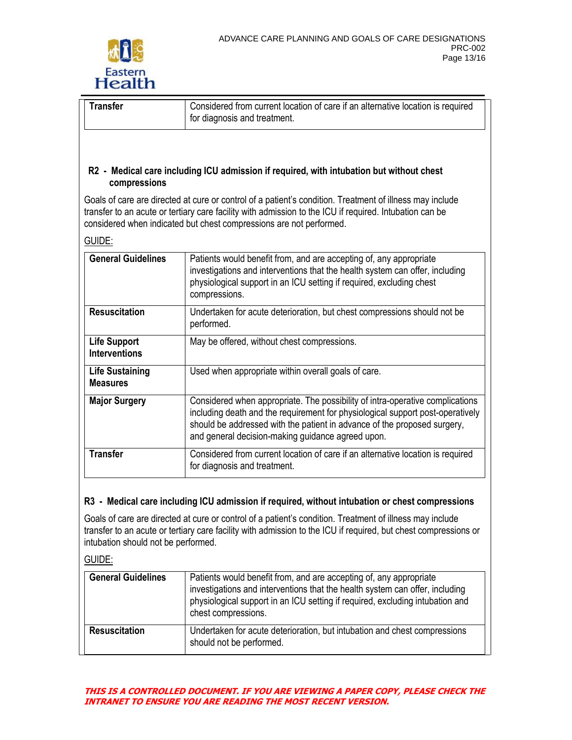

GUIDE:

| <b>Transfer</b> | Considered from current location of care if an alternative location is required<br>for diagnosis and treatment. |
|-----------------|-----------------------------------------------------------------------------------------------------------------|
|                 |                                                                                                                 |

#### **R2 - Medical care including ICU admission if required, with intubation but without chest compressions**

Goals of care are directed at cure or control of a patient's condition. Treatment of illness may include transfer to an acute or tertiary care facility with admission to the ICU if required. Intubation can be considered when indicated but chest compressions are not performed.

| <b>General Guidelines</b>                   | Patients would benefit from, and are accepting of, any appropriate<br>investigations and interventions that the health system can offer, including<br>physiological support in an ICU setting if required, excluding chest<br>compressions.                                                      |
|---------------------------------------------|--------------------------------------------------------------------------------------------------------------------------------------------------------------------------------------------------------------------------------------------------------------------------------------------------|
| <b>Resuscitation</b>                        | Undertaken for acute deterioration, but chest compressions should not be<br>performed.                                                                                                                                                                                                           |
| <b>Life Support</b><br><b>Interventions</b> | May be offered, without chest compressions.                                                                                                                                                                                                                                                      |
| <b>Life Sustaining</b><br><b>Measures</b>   | Used when appropriate within overall goals of care.                                                                                                                                                                                                                                              |
| <b>Major Surgery</b>                        | Considered when appropriate. The possibility of intra-operative complications<br>including death and the requirement for physiological support post-operatively<br>should be addressed with the patient in advance of the proposed surgery,<br>and general decision-making guidance agreed upon. |
| <b>Transfer</b>                             | Considered from current location of care if an alternative location is required<br>for diagnosis and treatment.                                                                                                                                                                                  |

### **R3 - Medical care including ICU admission if required, without intubation or chest compressions**

Goals of care are directed at cure or control of a patient's condition. Treatment of illness may include transfer to an acute or tertiary care facility with admission to the ICU if required, but chest compressions or intubation should not be performed.

GUIDE:

| <b>General Guidelines</b> | Patients would benefit from, and are accepting of, any appropriate<br>investigations and interventions that the health system can offer, including<br>physiological support in an ICU setting if required, excluding intubation and<br>chest compressions. |
|---------------------------|------------------------------------------------------------------------------------------------------------------------------------------------------------------------------------------------------------------------------------------------------------|
| <b>Resuscitation</b>      | Undertaken for acute deterioration, but intubation and chest compressions<br>should not be performed.                                                                                                                                                      |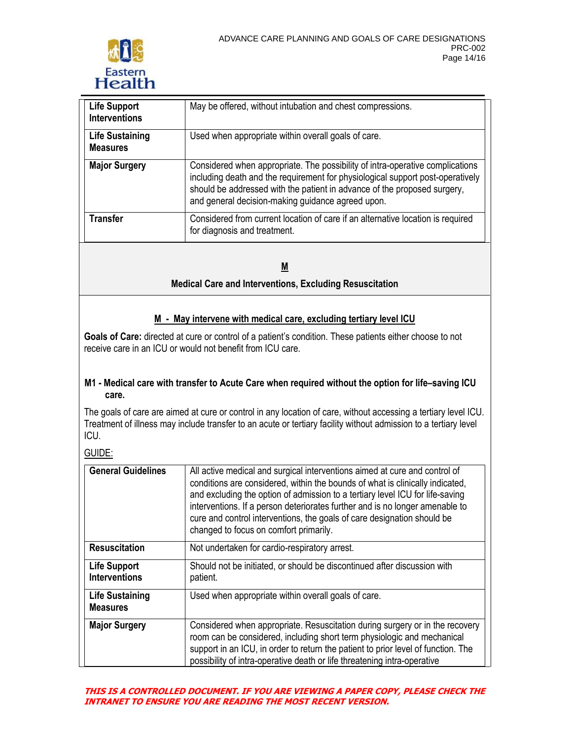

| <b>Life Support</b><br><b>Interventions</b> | May be offered, without intubation and chest compressions.                                                                                                                                                                                                                                       |
|---------------------------------------------|--------------------------------------------------------------------------------------------------------------------------------------------------------------------------------------------------------------------------------------------------------------------------------------------------|
| <b>Life Sustaining</b><br><b>Measures</b>   | Used when appropriate within overall goals of care.                                                                                                                                                                                                                                              |
| <b>Major Surgery</b>                        | Considered when appropriate. The possibility of intra-operative complications<br>including death and the requirement for physiological support post-operatively<br>should be addressed with the patient in advance of the proposed surgery,<br>and general decision-making guidance agreed upon. |
| <b>Transfer</b>                             | Considered from current location of care if an alternative location is required<br>for diagnosis and treatment.                                                                                                                                                                                  |

**M Medical Care and Interventions, Excluding Resuscitation**

### **M - May intervene with medical care, excluding tertiary level ICU**

Goals of Care: directed at cure or control of a patient's condition. These patients either choose to not receive care in an ICU or would not benefit from ICU care.

#### **M1 - Medical care with transfer to Acute Care when required without the option for life–saving ICU care.**

The goals of care are aimed at cure or control in any location of care, without accessing a tertiary level ICU. Treatment of illness may include transfer to an acute or tertiary facility without admission to a tertiary level ICU.

GUIDE:

| <b>General Guidelines</b>                   | All active medical and surgical interventions aimed at cure and control of<br>conditions are considered, within the bounds of what is clinically indicated,<br>and excluding the option of admission to a tertiary level ICU for life-saving<br>interventions. If a person deteriorates further and is no longer amenable to<br>cure and control interventions, the goals of care designation should be<br>changed to focus on comfort primarily. |
|---------------------------------------------|---------------------------------------------------------------------------------------------------------------------------------------------------------------------------------------------------------------------------------------------------------------------------------------------------------------------------------------------------------------------------------------------------------------------------------------------------|
| <b>Resuscitation</b>                        | Not undertaken for cardio-respiratory arrest.                                                                                                                                                                                                                                                                                                                                                                                                     |
| <b>Life Support</b><br><b>Interventions</b> | Should not be initiated, or should be discontinued after discussion with<br>patient.                                                                                                                                                                                                                                                                                                                                                              |
| <b>Life Sustaining</b><br><b>Measures</b>   | Used when appropriate within overall goals of care.                                                                                                                                                                                                                                                                                                                                                                                               |
| <b>Major Surgery</b>                        | Considered when appropriate. Resuscitation during surgery or in the recovery<br>room can be considered, including short term physiologic and mechanical<br>support in an ICU, in order to return the patient to prior level of function. The<br>possibility of intra-operative death or life threatening intra-operative                                                                                                                          |

#### **THIS IS A CONTROLLED DOCUMENT. IF YOU ARE VIEWING A PAPER COPY, PLEASE CHECK THE INTRANET TO ENSURE YOU ARE READING THE MOST RECENT VERSION.**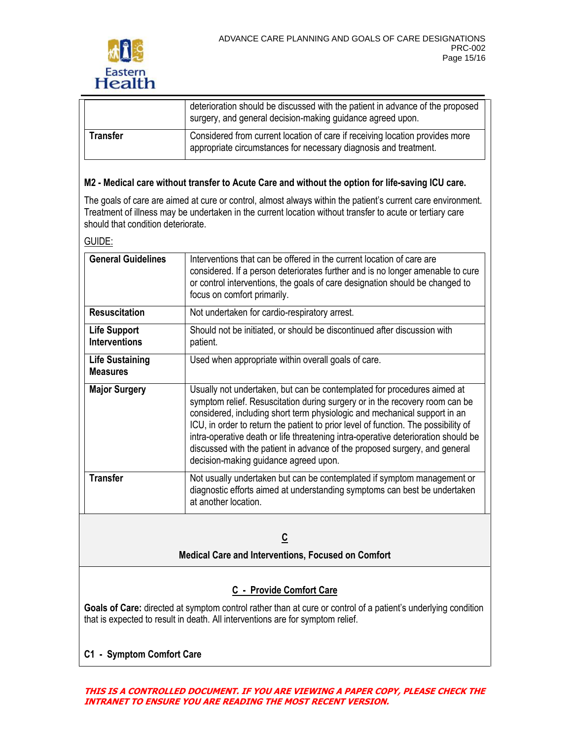

|          | deterioration should be discussed with the patient in advance of the proposed<br>surgery, and general decision-making guidance agreed upon.      |
|----------|--------------------------------------------------------------------------------------------------------------------------------------------------|
| Transfer | Considered from current location of care if receiving location provides more<br>appropriate circumstances for necessary diagnosis and treatment. |

### **M2 - Medical care without transfer to Acute Care and without the option for life-saving ICU care.**

The goals of care are aimed at cure or control, almost always within the patient's current care environment. Treatment of illness may be undertaken in the current location without transfer to acute or tertiary care should that condition deteriorate.

GUIDE:

| <b>General Guidelines</b>                   | Interventions that can be offered in the current location of care are<br>considered. If a person deteriorates further and is no longer amenable to cure<br>or control interventions, the goals of care designation should be changed to<br>focus on comfort primarily.                                                                                                                                                                                                                                                                |
|---------------------------------------------|---------------------------------------------------------------------------------------------------------------------------------------------------------------------------------------------------------------------------------------------------------------------------------------------------------------------------------------------------------------------------------------------------------------------------------------------------------------------------------------------------------------------------------------|
| <b>Resuscitation</b>                        | Not undertaken for cardio-respiratory arrest.                                                                                                                                                                                                                                                                                                                                                                                                                                                                                         |
| <b>Life Support</b><br><b>Interventions</b> | Should not be initiated, or should be discontinued after discussion with<br>patient.                                                                                                                                                                                                                                                                                                                                                                                                                                                  |
| <b>Life Sustaining</b><br><b>Measures</b>   | Used when appropriate within overall goals of care.                                                                                                                                                                                                                                                                                                                                                                                                                                                                                   |
| <b>Major Surgery</b>                        | Usually not undertaken, but can be contemplated for procedures aimed at<br>symptom relief. Resuscitation during surgery or in the recovery room can be<br>considered, including short term physiologic and mechanical support in an<br>ICU, in order to return the patient to prior level of function. The possibility of<br>intra-operative death or life threatening intra-operative deterioration should be<br>discussed with the patient in advance of the proposed surgery, and general<br>decision-making guidance agreed upon. |
| <b>Transfer</b>                             | Not usually undertaken but can be contemplated if symptom management or<br>diagnostic efforts aimed at understanding symptoms can best be undertaken<br>at another location.                                                                                                                                                                                                                                                                                                                                                          |

### **C**

**Medical Care and Interventions, Focused on Comfort**

### **C - Provide Comfort Care**

**Goals of Care:** directed at symptom control rather than at cure or control of a patient's underlying condition that is expected to result in death. All interventions are for symptom relief.

### **C1 - Symptom Comfort Care**

**THIS IS A CONTROLLED DOCUMENT. IF YOU ARE VIEWING A PAPER COPY, PLEASE CHECK THE INTRANET TO ENSURE YOU ARE READING THE MOST RECENT VERSION.**